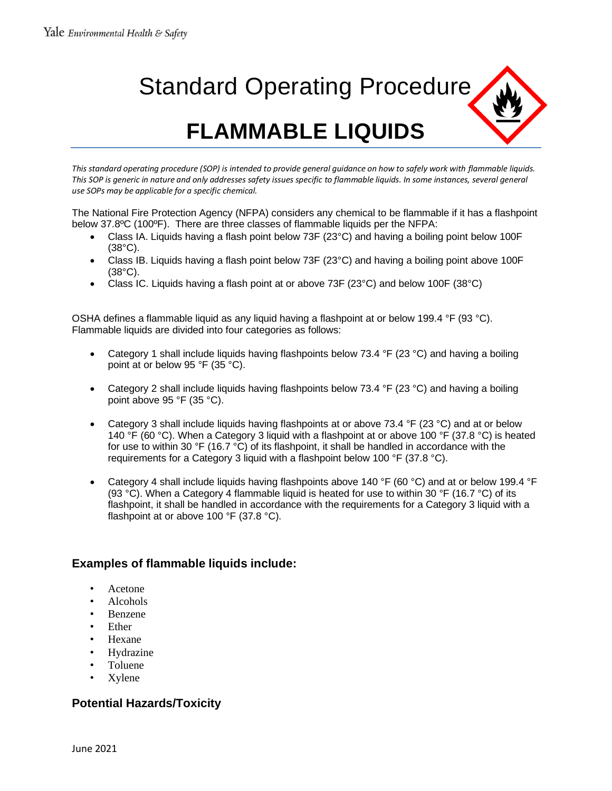# Standard Operating Procedure **FLAMMABLE LIQUIDS**

*This standard operating procedure (SOP) is intended to provide general guidance on how to safely work with flammable liquids.*  This SOP is generic in nature and only addresses safety issues specific to flammable liquids. In some instances, several general *use SOPs may be applicable for a specific chemical.* 

The National Fire Protection Agency (NFPA) considers any chemical to be flammable if it has a flashpoint below 37.8ºC (100ºF). There are three classes of flammable liquids per the NFPA:

- Class IA. Liquids having a flash point below 73F (23°C) and having a boiling point below 100F (38°C).
- Class IB. Liquids having a flash point below 73F (23°C) and having a boiling point above 100F (38°C).
- Class IC. Liquids having a flash point at or above 73F (23 $^{\circ}$ C) and below 100F (38 $^{\circ}$ C)

OSHA defines a flammable liquid as any liquid having a flashpoint at or below 199.4 °F (93 °C). Flammable liquids are divided into four categories as follows:

- Category 1 shall include liquids having flashpoints below 73.4 °F (23 °C) and having a boiling point at or below 95 °F (35 °C).
- Category 2 shall include liquids having flashpoints below 73.4 °F (23 °C) and having a boiling point above 95 °F (35 °C).
- Category 3 shall include liquids having flashpoints at or above 73.4 °F (23 °C) and at or below 140 °F (60 °C). When a Category 3 liquid with a flashpoint at or above 100 °F (37.8 °C) is heated for use to within 30 °F (16.7 °C) of its flashpoint, it shall be handled in accordance with the requirements for a Category 3 liquid with a flashpoint below 100 °F (37.8 °C).
- Category 4 shall include liquids having flashpoints above 140 °F (60 °C) and at or below 199.4 °F (93 °C). When a Category 4 flammable liquid is heated for use to within 30 °F (16.7 °C) of its flashpoint, it shall be handled in accordance with the requirements for a Category 3 liquid with a flashpoint at or above 100 °F (37.8 °C).

# **Examples of flammable liquids include:**

- Acetone
- Alcohols
- Benzene
- **Ether**
- Hexane
- **Hydrazine**
- Toluene
- Xylene

# **Potential Hazards/Toxicity**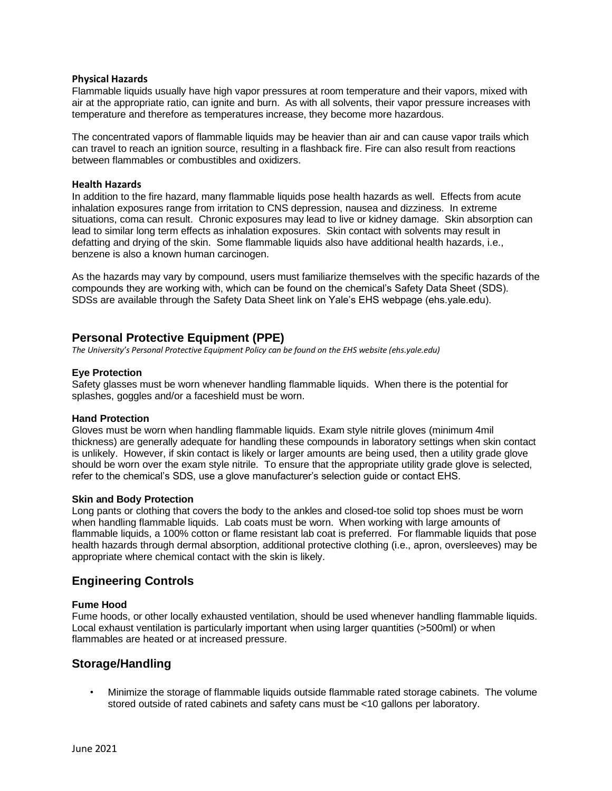#### **Physical Hazards**

Flammable liquids usually have high vapor pressures at room temperature and their vapors, mixed with air at the appropriate ratio, can ignite and burn. As with all solvents, their vapor pressure increases with temperature and therefore as temperatures increase, they become more hazardous.

The concentrated vapors of flammable liquids may be heavier than air and can cause vapor trails which can travel to reach an ignition source, resulting in a flashback fire. Fire can also result from reactions between flammables or combustibles and oxidizers.

#### **Health Hazards**

In addition to the fire hazard, many flammable liquids pose health hazards as well. Effects from acute inhalation exposures range from irritation to CNS depression, nausea and dizziness. In extreme situations, coma can result. Chronic exposures may lead to live or kidney damage. Skin absorption can lead to similar long term effects as inhalation exposures. Skin contact with solvents may result in defatting and drying of the skin. Some flammable liquids also have additional health hazards, i.e., benzene is also a known human carcinogen.

As the hazards may vary by compound, users must familiarize themselves with the specific hazards of the compounds they are working with, which can be found on the chemical's Safety Data Sheet (SDS). SDSs are available through the Safety Data Sheet link on Yale's EHS webpage (ehs.yale.edu).

## **Personal Protective Equipment (PPE)**

*The University's Personal Protective Equipment Policy can be found on the EHS website (ehs.yale.edu)*

## **Eye Protection**

Safety glasses must be worn whenever handling flammable liquids. When there is the potential for splashes, goggles and/or a faceshield must be worn.

## **Hand Protection**

Gloves must be worn when handling flammable liquids. Exam style nitrile gloves (minimum 4mil thickness) are generally adequate for handling these compounds in laboratory settings when skin contact is unlikely. However, if skin contact is likely or larger amounts are being used, then a utility grade glove should be worn over the exam style nitrile. To ensure that the appropriate utility grade glove is selected, refer to the chemical's SDS, use a glove manufacturer's selection guide or contact EHS.

## **Skin and Body Protection**

Long pants or clothing that covers the body to the ankles and closed-toe solid top shoes must be worn when handling flammable liquids. Lab coats must be worn. When working with large amounts of flammable liquids, a 100% cotton or flame resistant lab coat is preferred. For flammable liquids that pose health hazards through dermal absorption, additional protective clothing (i.e., apron, oversleeves) may be appropriate where chemical contact with the skin is likely.

## **Engineering Controls**

## **Fume Hood**

Fume hoods, or other locally exhausted ventilation, should be used whenever handling flammable liquids. Local exhaust ventilation is particularly important when using larger quantities (>500ml) or when flammables are heated or at increased pressure.

## **Storage/Handling**

• Minimize the storage of flammable liquids outside flammable rated storage cabinets. The volume stored outside of rated cabinets and safety cans must be <10 gallons per laboratory.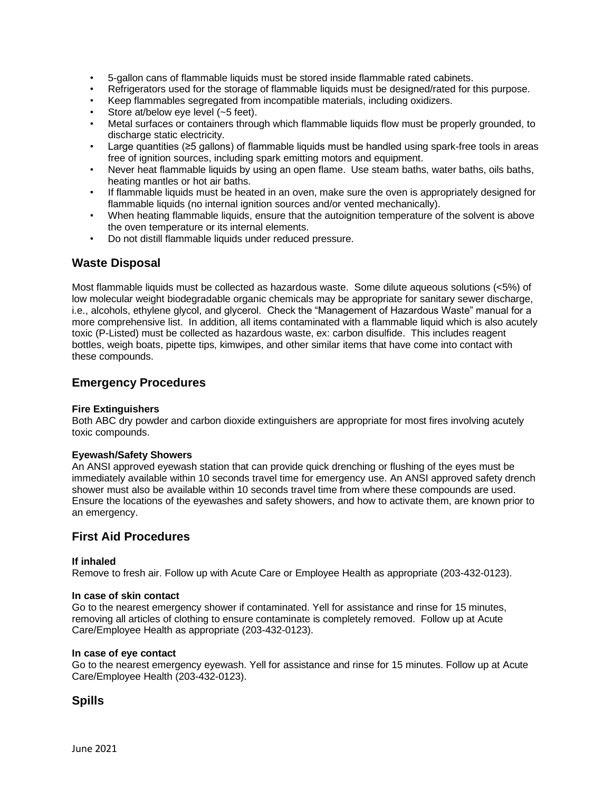- 5-gallon cans of flammable liquids must be stored inside flammable rated cabinets.
- Refrigerators used for the storage of flammable liquids must be designed/rated for this purpose.
- Keep flammables segregated from incompatible materials, including oxidizers.
- Store at/below eye level (~5 feet).
- Metal surfaces or containers through which flammable liquids flow must be properly grounded, to discharge static electricity.
- Large quantities (≥5 gallons) of flammable liquids must be handled using spark-free tools in areas free of ignition sources, including spark emitting motors and equipment.
- Never heat flammable liquids by using an open flame. Use steam baths, water baths, oils baths, heating mantles or hot air baths.
- If flammable liquids must be heated in an oven, make sure the oven is appropriately designed for flammable liquids (no internal ignition sources and/or vented mechanically).
- When heating flammable liquids, ensure that the autoignition temperature of the solvent is above the oven temperature or its internal elements.
- Do not distill flammable liquids under reduced pressure.

## **Waste Disposal**

Most flammable liquids must be collected as hazardous waste. Some dilute aqueous solutions (<5%) of low molecular weight biodegradable organic chemicals may be appropriate for sanitary sewer discharge, i.e., alcohols, ethylene glycol, and glycerol. Check the "Management of Hazardous Waste" manual for a more comprehensive list. In addition, all items contaminated with a flammable liquid which is also acutely toxic (P-Listed) must be collected as hazardous waste, ex: carbon disulfide. This includes reagent bottles, weigh boats, pipette tips, kimwipes, and other similar items that have come into contact with these compounds.

## **Emergency Procedures**

## **Fire Extinguishers**

Both ABC dry powder and carbon dioxide extinguishers are appropriate for most fires involving acutely toxic compounds.

#### **Eyewash/Safety Showers**

An ANSI approved eyewash station that can provide quick drenching or flushing of the eyes must be immediately available within 10 seconds travel time for emergency use. An ANSI approved safety drench shower must also be available within 10 seconds travel time from where these compounds are used. Ensure the locations of the eyewashes and safety showers, and how to activate them, are known prior to an emergency.

## **First Aid Procedures**

## **If inhaled**

Remove to fresh air. Follow up with Acute Care or Employee Health as appropriate (203-432-0123).

#### **In case of skin contact**

Go to the nearest emergency shower if contaminated. Yell for assistance and rinse for 15 minutes, removing all articles of clothing to ensure contaminate is completely removed. Follow up at Acute Care/Employee Health as appropriate (203-432-0123).

#### **In case of eye contact**

Go to the nearest emergency eyewash. Yell for assistance and rinse for 15 minutes. Follow up at Acute Care/Employee Health (203-432-0123).

## **Spills**